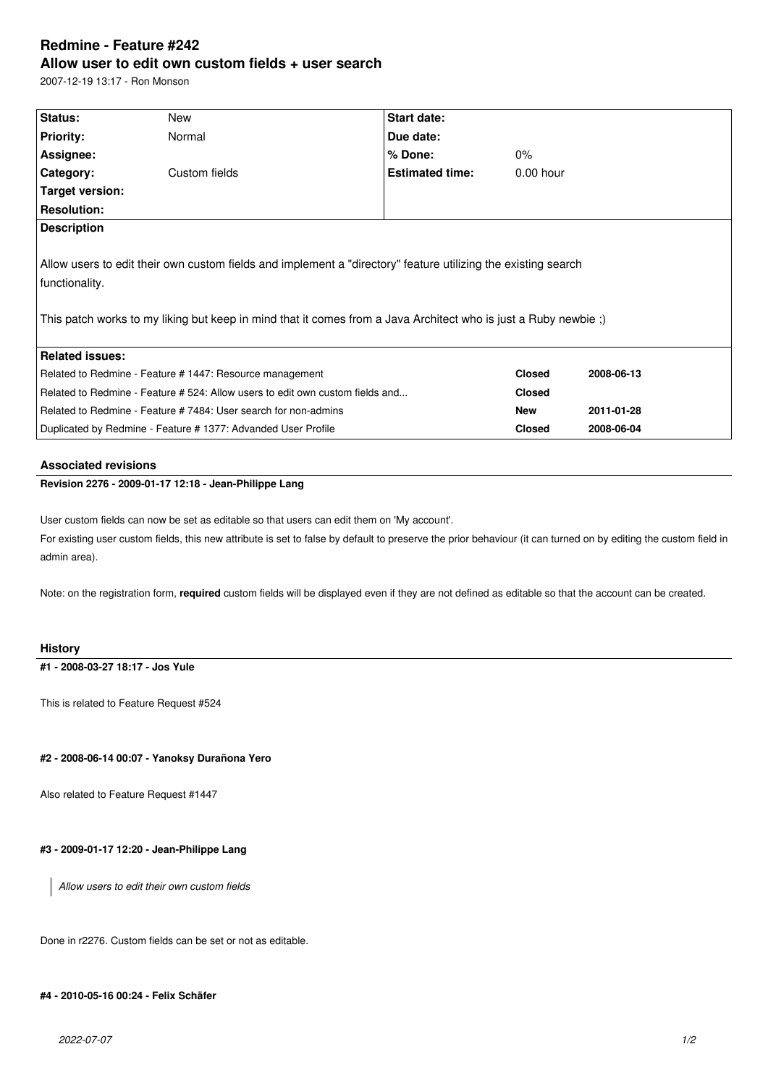# **Redmine - Feature #242 Allow user to edit own custom fields + user search**

2007-12-19 13:17 - Ron Monson

| Status:                                                                                                                                                                                                                                           | New           | Start date:            |               |            |
|---------------------------------------------------------------------------------------------------------------------------------------------------------------------------------------------------------------------------------------------------|---------------|------------------------|---------------|------------|
| <b>Priority:</b>                                                                                                                                                                                                                                  | Normal        | Due date:              |               |            |
| Assignee:                                                                                                                                                                                                                                         |               | % Done:                | 0%            |            |
| Category:                                                                                                                                                                                                                                         | Custom fields | <b>Estimated time:</b> | $0.00$ hour   |            |
| Target version:                                                                                                                                                                                                                                   |               |                        |               |            |
| <b>Resolution:</b>                                                                                                                                                                                                                                |               |                        |               |            |
| <b>Description</b>                                                                                                                                                                                                                                |               |                        |               |            |
| Allow users to edit their own custom fields and implement a "directory" feature utilizing the existing search<br>functionality.<br>This patch works to my liking but keep in mind that it comes from a Java Architect who is just a Ruby newbie;) |               |                        |               |            |
| <b>Related issues:</b>                                                                                                                                                                                                                            |               |                        |               |            |
| Related to Redmine - Feature # 1447: Resource management                                                                                                                                                                                          |               |                        | <b>Closed</b> | 2008-06-13 |
| Related to Redmine - Feature # 524: Allow users to edit own custom fields and                                                                                                                                                                     |               |                        | <b>Closed</b> |            |
| Related to Redmine - Feature # 7484: User search for non-admins                                                                                                                                                                                   |               |                        | <b>New</b>    | 2011-01-28 |
| Duplicated by Redmine - Feature # 1377: Advanded User Profile                                                                                                                                                                                     |               |                        | <b>Closed</b> | 2008-06-04 |
|                                                                                                                                                                                                                                                   |               |                        |               |            |

### **Associated revisions**

# **Revision 2276 - 2009-01-17 12:18 - Jean-Philippe Lang**

User custom fields can now be set as editable so that users can edit them on 'My account'.

For existing user custom fields, this new attribute is set to false by default to preserve the prior behaviour (it can turned on by editing the custom field in admin area).

Note: on the registration form, **required** custom fields will be displayed even if they are not defined as editable so that the account can be created.

#### **History**

**#1 - 2008-03-27 18:17 - Jos Yule**

This is related to Feature Request #524

#### **#2 - 2008-06-14 00:07 - Yanoksy Durañona Yero**

Also related to Feature Request #1447

# **#3 - 2009-01-17 12:20 - Jean-Philippe Lang**

*Allow users to edit their own custom fields*

Done in r2276. Custom fields can be set or not as editable.

# **#4 - 2010-05-16 00:24 - Felix Schäfer**